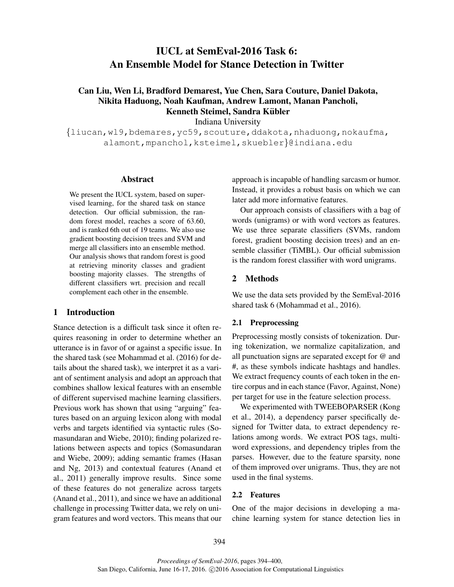# IUCL at SemEval-2016 Task 6: An Ensemble Model for Stance Detection in Twitter

## Can Liu, Wen Li, Bradford Demarest, Yue Chen, Sara Couture, Daniel Dakota, Nikita Haduong, Noah Kaufman, Andrew Lamont, Manan Pancholi, Kenneth Steimel, Sandra Kübler

Indiana University

 $\{l$ iucan,wl9,bdemares,yc59,scouture,ddakota,nhaduong,nokaufma, alamont,mpanchol,ksteimel,skuebler}@indiana.edu

## Abstract

We present the IUCL system, based on supervised learning, for the shared task on stance detection. Our official submission, the random forest model, reaches a score of 63.60, and is ranked 6th out of 19 teams. We also use gradient boosting decision trees and SVM and merge all classifiers into an ensemble method. Our analysis shows that random forest is good at retrieving minority classes and gradient boosting majority classes. The strengths of different classifiers wrt. precision and recall complement each other in the ensemble.

## 1 Introduction

Stance detection is a difficult task since it often requires reasoning in order to determine whether an utterance is in favor of or against a specific issue. In the shared task (see Mohammad et al. (2016) for details about the shared task), we interpret it as a variant of sentiment analysis and adopt an approach that combines shallow lexical features with an ensemble of different supervised machine learning classifiers. Previous work has shown that using "arguing" features based on an arguing lexicon along with modal verbs and targets identified via syntactic rules (Somasundaran and Wiebe, 2010); finding polarized relations between aspects and topics (Somasundaran and Wiebe, 2009); adding semantic frames (Hasan and Ng, 2013) and contextual features (Anand et al., 2011) generally improve results. Since some of these features do not generalize across targets (Anand et al., 2011), and since we have an additional challenge in processing Twitter data, we rely on unigram features and word vectors. This means that our approach is incapable of handling sarcasm or humor. Instead, it provides a robust basis on which we can later add more informative features.

Our approach consists of classifiers with a bag of words (unigrams) or with word vectors as features. We use three separate classifiers (SVMs, random forest, gradient boosting decision trees) and an ensemble classifier (TiMBL). Our official submission is the random forest classifier with word unigrams.

#### 2 Methods

We use the data sets provided by the SemEval-2016 shared task 6 (Mohammad et al., 2016).

## 2.1 Preprocessing

Preprocessing mostly consists of tokenization. During tokenization, we normalize capitalization, and all punctuation signs are separated except for @ and #, as these symbols indicate hashtags and handles. We extract frequency counts of each token in the entire corpus and in each stance (Favor, Against, None) per target for use in the feature selection process.

We experimented with TWEEBOPARSER (Kong et al., 2014), a dependency parser specifically designed for Twitter data, to extract dependency relations among words. We extract POS tags, multiword expressions, and dependency triples from the parses. However, due to the feature sparsity, none of them improved over unigrams. Thus, they are not used in the final systems.

## 2.2 Features

One of the major decisions in developing a machine learning system for stance detection lies in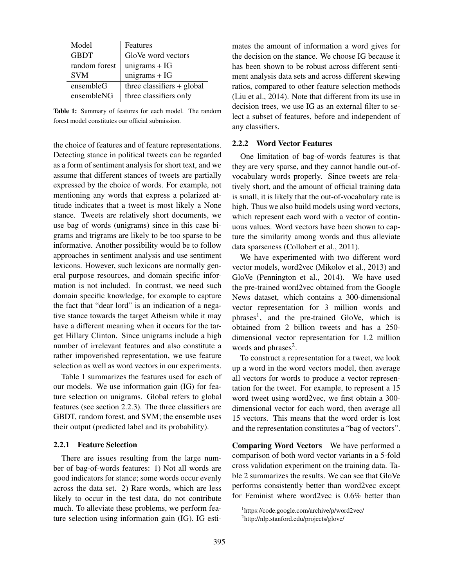| Model         | Features                     |
|---------------|------------------------------|
| <b>GBDT</b>   | GloVe word vectors           |
| random forest | unigrams $+ IG$              |
| <b>SVM</b>    | unigrams $+ IG$              |
| ensembleG     | three classifiers $+$ global |
| ensembleNG    | three classifiers only       |

Table 1: Summary of features for each model. The random forest model constitutes our official submission.

the choice of features and of feature representations. Detecting stance in political tweets can be regarded as a form of sentiment analysis for short text, and we assume that different stances of tweets are partially expressed by the choice of words. For example, not mentioning any words that express a polarized attitude indicates that a tweet is most likely a None stance. Tweets are relatively short documents, we use bag of words (unigrams) since in this case bigrams and trigrams are likely to be too sparse to be informative. Another possibility would be to follow approaches in sentiment analysis and use sentiment lexicons. However, such lexicons are normally general purpose resources, and domain specific information is not included. In contrast, we need such domain specific knowledge, for example to capture the fact that "dear lord" is an indication of a negative stance towards the target Atheism while it may have a different meaning when it occurs for the target Hillary Clinton. Since unigrams include a high number of irrelevant features and also constitute a rather impoverished representation, we use feature selection as well as word vectors in our experiments.

Table 1 summarizes the features used for each of our models. We use information gain (IG) for feature selection on unigrams. Global refers to global features (see section 2.2.3). The three classifiers are GBDT, random forest, and SVM; the ensemble uses their output (predicted label and its probability).

#### 2.2.1 Feature Selection

There are issues resulting from the large number of bag-of-words features: 1) Not all words are good indicators for stance; some words occur evenly across the data set. 2) Rare words, which are less likely to occur in the test data, do not contribute much. To alleviate these problems, we perform feature selection using information gain (IG). IG estimates the amount of information a word gives for the decision on the stance. We choose IG because it has been shown to be robust across different sentiment analysis data sets and across different skewing ratios, compared to other feature selection methods (Liu et al., 2014). Note that different from its use in decision trees, we use IG as an external filter to select a subset of features, before and independent of any classifiers.

#### 2.2.2 Word Vector Features

One limitation of bag-of-words features is that they are very sparse, and they cannot handle out-ofvocabulary words properly. Since tweets are relatively short, and the amount of official training data is small, it is likely that the out-of-vocabulary rate is high. Thus we also build models using word vectors, which represent each word with a vector of continuous values. Word vectors have been shown to capture the similarity among words and thus alleviate data sparseness (Collobert et al., 2011).

We have experimented with two different word vector models, word2vec (Mikolov et al., 2013) and GloVe (Pennington et al., 2014). We have used the pre-trained word2vec obtained from the Google News dataset, which contains a 300-dimensional vector representation for 3 million words and phrases<sup>1</sup>, and the pre-trained GloVe, which is obtained from 2 billion tweets and has a 250 dimensional vector representation for 1.2 million words and phrases<sup>2</sup>.

To construct a representation for a tweet, we look up a word in the word vectors model, then average all vectors for words to produce a vector representation for the tweet. For example, to represent a 15 word tweet using word2vec, we first obtain a 300 dimensional vector for each word, then average all 15 vectors. This means that the word order is lost and the representation constitutes a "bag of vectors".

Comparing Word Vectors We have performed a comparison of both word vector variants in a 5-fold cross validation experiment on the training data. Table 2 summarizes the results. We can see that GloVe performs consistently better than word2vec except for Feminist where word2vec is 0.6% better than

<sup>1</sup> https://code.google.com/archive/p/word2vec/

<sup>&</sup>lt;sup>2</sup>http://nlp.stanford.edu/projects/glove/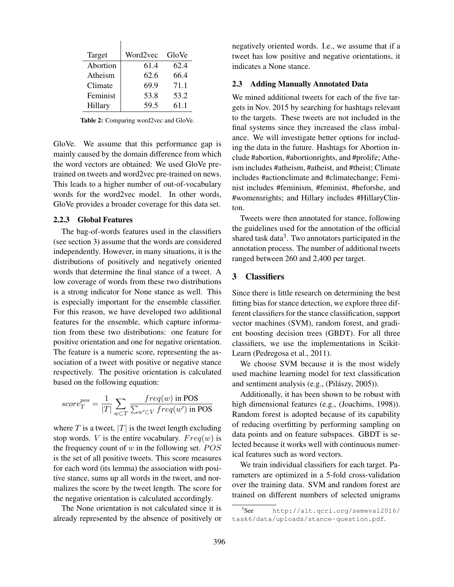| Target   | Word2vec | GloVe |
|----------|----------|-------|
| Abortion | 61.4     | 62.4  |
| Atheism  | 62.6     | 66.4  |
| Climate  | 69.9     | 71.1  |
| Feminist | 53.8     | 53.2  |
| Hillary  | 59.5     | 61.1  |

Table 2: Comparing word2vec and GloVe.

GloVe. We assume that this performance gap is mainly caused by the domain difference from which the word vectors are obtained: We used GloVe pretrained on tweets and word2vec pre-trained on news. This leads to a higher number of out-of-vocabulary words for the word2vec model. In other words, GloVe provides a broader coverage for this data set.

#### 2.2.3 Global Features

The bag-of-words features used in the classifiers (see section 3) assume that the words are considered independently. However, in many situations, it is the distributions of positively and negatively oriented words that determine the final stance of a tweet. A low coverage of words from these two distributions is a strong indicator for None stance as well. This is especially important for the ensemble classifier. For this reason, we have developed two additional features for the ensemble, which capture information from these two distributions: one feature for positive orientation and one for negative orientation. The feature is a numeric score, representing the association of a tweet with positive or negative stance respectively. The positive orientation is calculated based on the following equation:

$$
score_T^{pos} = \frac{1}{|T|} \sum_{w \subset T} \frac{freq(w) \text{ in POS}}{\sum_{w' \subset V} freq(w') \text{ in POS}}
$$

where T is a tweet,  $|T|$  is the tweet length excluding stop words. V is the entire vocabulary.  $Freq(w)$  is the frequency count of  $w$  in the following set.  $POS$ is the set of all positive tweets. This score measures for each word (its lemma) the association with positive stance, sums up all words in the tweet, and normalizes the score by the tweet length. The score for the negative orientation is calculated accordingly.

The None orientation is not calculated since it is already represented by the absence of positively or negatively oriented words. I.e., we assume that if a tweet has low positive and negative orientations, it indicates a None stance.

#### 2.3 Adding Manually Annotated Data

We mined additional tweets for each of the five targets in Nov. 2015 by searching for hashtags relevant to the targets. These tweets are not included in the final systems since they increased the class imbalance. We will investigate better options for including the data in the future. Hashtags for Abortion include #abortion, #abortionrights, and #prolife; Atheism includes #atheism, #atheist, and #theist; Climate includes #actionclimate and #climatechange; Feminist includes #feminism, #feminist, #heforshe, and #womensrights; and Hillary includes #HillaryClinton.

Tweets were then annotated for stance, following the guidelines used for the annotation of the official shared task data $3$ . Two annotators participated in the annotation process. The number of additional tweets ranged between 260 and 2,400 per target.

## 3 Classifiers

Since there is little research on determining the best fitting bias for stance detection, we explore three different classifiers for the stance classification, support vector machines (SVM), random forest, and gradient boosting decision trees (GBDT). For all three classifiers, we use the implementations in Scikit-Learn (Pedregosa et al., 2011).

We choose SVM because it is the most widely used machine learning model for text classification and sentiment analysis (e.g., (Pilászy, 2005)).

Additionally, it has been shown to be robust with high dimensional features (e.g., (Joachims, 1998)). Random forest is adopted because of its capability of reducing overfitting by performing sampling on data points and on feature subspaces. GBDT is selected because it works well with continuous numerical features such as word vectors.

We train individual classifiers for each target. Parameters are optimized in a 5-fold cross-validation over the training data. SVM and random forest are trained on different numbers of selected unigrams

 $3$ See http://alt.qcri.org/semeval2016/ task6/data/uploads/stance-question.pdf.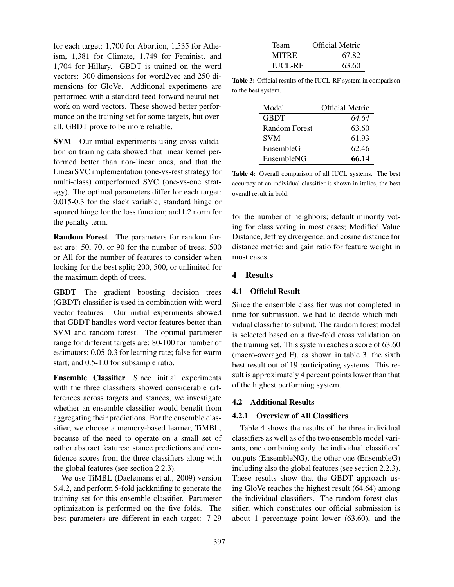for each target: 1,700 for Abortion, 1,535 for Atheism, 1,381 for Climate, 1,749 for Feminist, and 1,704 for Hillary. GBDT is trained on the word vectors: 300 dimensions for word2vec and 250 dimensions for GloVe. Additional experiments are performed with a standard feed-forward neural network on word vectors. These showed better performance on the training set for some targets, but overall, GBDT prove to be more reliable.

SVM Our initial experiments using cross validation on training data showed that linear kernel performed better than non-linear ones, and that the LinearSVC implementation (one-vs-rest strategy for multi-class) outperformed SVC (one-vs-one strategy). The optimal parameters differ for each target: 0.015-0.3 for the slack variable; standard hinge or squared hinge for the loss function; and L2 norm for the penalty term.

Random Forest The parameters for random forest are: 50, 70, or 90 for the number of trees; 500 or All for the number of features to consider when looking for the best split; 200, 500, or unlimited for the maximum depth of trees.

GBDT The gradient boosting decision trees (GBDT) classifier is used in combination with word vector features. Our initial experiments showed that GBDT handles word vector features better than SVM and random forest. The optimal parameter range for different targets are: 80-100 for number of estimators; 0.05-0.3 for learning rate; false for warm start; and 0.5-1.0 for subsample ratio.

Ensemble Classifier Since initial experiments with the three classifiers showed considerable differences across targets and stances, we investigate whether an ensemble classifier would benefit from aggregating their predictions. For the ensemble classifier, we choose a memory-based learner, TiMBL, because of the need to operate on a small set of rather abstract features: stance predictions and confidence scores from the three classifiers along with the global features (see section 2.2.3).

We use TiMBL (Daelemans et al., 2009) version 6.4.2, and perform 5-fold jackknifing to generate the training set for this ensemble classifier. Parameter optimization is performed on the five folds. The best parameters are different in each target: 7-29

| Team           | <b>Official Metric</b> |
|----------------|------------------------|
| <b>MITRE</b>   | 67.82                  |
| <b>IUCL-RF</b> | 63.60                  |

Table 3: Official results of the IUCL-RF system in comparison to the best system.

| Model                | <b>Official Metric</b> |
|----------------------|------------------------|
| GBDT                 | 64.64                  |
| <b>Random Forest</b> | 63.60                  |
| <b>SVM</b>           | 61.93                  |
| EnsembleG            | 62.46                  |
| EnsembleNG           | 66.14                  |

Table 4: Overall comparison of all IUCL systems. The best accuracy of an individual classifier is shown in italics, the best overall result in bold.

for the number of neighbors; default minority voting for class voting in most cases; Modified Value Distance, Jeffrey divergence, and cosine distance for distance metric; and gain ratio for feature weight in most cases.

## 4 Results

#### 4.1 Official Result

Since the ensemble classifier was not completed in time for submission, we had to decide which individual classifier to submit. The random forest model is selected based on a five-fold cross validation on the training set. This system reaches a score of 63.60 (macro-averaged F), as shown in table 3, the sixth best result out of 19 participating systems. This result is approximately 4 percent points lower than that of the highest performing system.

#### 4.2 Additional Results

#### 4.2.1 Overview of All Classifiers

Table 4 shows the results of the three individual classifiers as well as of the two ensemble model variants, one combining only the individual classifiers' outputs (EnsembleNG), the other one (EnsembleG) including also the global features (see section 2.2.3). These results show that the GBDT approach using GloVe reaches the highest result (64.64) among the individual classifiers. The random forest classifier, which constitutes our official submission is about 1 percentage point lower (63.60), and the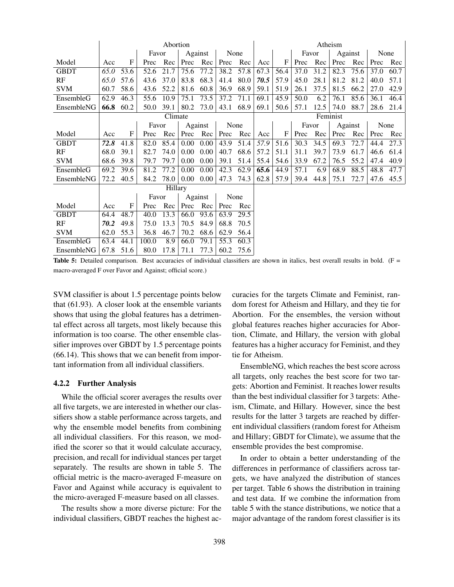|             | Abortion |         |       |         |         |         | Atheism           |      |      |          |       |      |         |      |      |      |
|-------------|----------|---------|-------|---------|---------|---------|-------------------|------|------|----------|-------|------|---------|------|------|------|
|             |          |         | Favor |         |         | Against | None              |      |      |          | Favor |      | Against |      | None |      |
| Model       | Acc      | F       | Prec  | Rec     | Prec    | Rec     | Prec              | Rec  | Acc  | F        | Prec  | Rec  | Prec    | Rec  | Prec | Rec  |
| <b>GBDT</b> | 65.0     | 53.6    | 52.6  | 21.7    | 75.6    | 77.2    | 38.2              | 57.8 | 67.3 | 56.4     | 37.0  | 31.2 | 82.3    | 75.6 | 37.0 | 60.7 |
| RF          | 65.0     | 57.6    | 43.6  | 37.0    | 83.8    | 68.3    | 41.4              | 80.0 | 70.5 | 57.9     | 45.0  | 28.1 | 81.2    | 81.2 | 40.0 | 57.1 |
| <b>SVM</b>  | 60.7     | 58.6    | 43.6  | 52.2    | 81.6    | 60.8    | 36.9              | 68.9 | 59.1 | 51.9     | 26.1  | 37.5 | 81.5    | 66.2 | 27.0 | 42.9 |
| EnsembleG   | 62.9     | 46.3    | 55.6  | 10.9    | 75.1    | 73.5    | 37.2              | 71.1 | 69.1 | 45.9     | 50.0  | 6.2  | 76.1    | 85.6 | 36.1 | 46.4 |
| EnsembleNG  | 66.8     | 60.2    | 50.0  | 39.1    | 80.2    | 73.0    | 43.1              | 68.9 | 69.1 | 50.6     | 57.1  | 12.5 | 74.0    | 88.7 | 28.6 | 21.4 |
|             |          |         |       | Climate |         |         |                   |      |      | Feminist |       |      |         |      |      |      |
|             |          |         | Favor |         | Against |         | None              |      |      |          | Favor |      | Against |      | None |      |
| Model       | Acc      | F       | Prec  | Rec     | Prec    | Rec     | Prec              | Rec  | Acc  | F        | Prec  | Rec  | Prec    | Rec  | Prec | Rec  |
| <b>GBDT</b> | 72.8     | 41.8    | 82.0  | 85.4    | 0.00    | 0.00    | 43.9              | 51.4 | 57.9 | 51.6     | 30.3  | 34.5 | 69.3    | 72.7 | 44.4 | 27.3 |
| RF          | 68.0     | 39.1    | 82.7  | 74.0    | 0.00    | 0.00    | 40.7              | 68.6 | 57.2 | 51.1     | 31.1  | 39.7 | 73.9    | 61.7 | 46.6 | 61.4 |
| <b>SVM</b>  | 68.6     | 39.8    | 79.7  | 79.7    | 0.00    | 0.00    | 39.1              | 51.4 | 55.4 | 54.6     | 33.9  | 67.2 | 76.5    | 55.2 | 47.4 | 40.9 |
| EnsembleG   | 69.2     | 39.6    | 81.2  | 77.2    | 0.00    | 0.00    | 42.3              | 62.9 | 65.6 | 44.9     | 57.1  | 6.9  | 68.9    | 88.5 | 48.8 | 47.7 |
| EnsembleNG  | 72.2     | 40.5    | 84.2  | 78.0    | 0.00    | 0.00    | 47.3              | 74.3 | 62.8 | 57.9     | 39.4  | 44.8 | 75.1    | 72.7 | 47.6 | 45.5 |
|             |          | Hillary |       |         |         |         |                   |      |      |          |       |      |         |      |      |      |
|             |          |         | Favor |         | Against |         | None              |      |      |          |       |      |         |      |      |      |
| Model       | Acc      | F       | Prec  | Rec     | Prec    | Rec     | Prec              | Rec  |      |          |       |      |         |      |      |      |
| <b>GBDT</b> | 64.4     | 48.7    | 40.0  | 13.3    | 66.0    | 93.6    | 63.9              | 29.5 |      |          |       |      |         |      |      |      |
| RF          | 70.2     | 49.8    | 75.0  | 13.3    | 70.5    | 84.9    | 68.8              | 70.5 |      |          |       |      |         |      |      |      |
| <b>SVM</b>  | 62.0     | 55.3    | 36.8  | 46.7    | 70.2    | 68.6    | 62.9              | 56.4 |      |          |       |      |         |      |      |      |
| EnsembleG   | 63.4     | 44.1    | 100.0 | 8.9     | 66.0    | 79.1    | $\overline{55.3}$ | 60.3 |      |          |       |      |         |      |      |      |
| EnsembleNG  | 67.8     | 51.6    | 80.0  | 17.8    | 71.1    | 77.3    | 60.2              | 75.6 |      |          |       |      |         |      |      |      |

Table 5: Detailed comparison. Best accuracies of individual classifiers are shown in italics, best overall results in bold. ( $F =$ macro-averaged F over Favor and Against; official score.)

SVM classifier is about 1.5 percentage points below that (61.93). A closer look at the ensemble variants shows that using the global features has a detrimental effect across all targets, most likely because this information is too coarse. The other ensemble classifier improves over GBDT by 1.5 percentage points (66.14). This shows that we can benefit from important information from all individual classifiers.

#### 4.2.2 Further Analysis

While the official scorer averages the results over all five targets, we are interested in whether our classifiers show a stable performance across targets, and why the ensemble model benefits from combining all individual classifiers. For this reason, we modified the scorer so that it would calculate accuracy, precision, and recall for individual stances per target separately. The results are shown in table 5. The official metric is the macro-averaged F-measure on Favor and Against while accuracy is equivalent to the micro-averaged F-measure based on all classes.

The results show a more diverse picture: For the individual classifiers, GBDT reaches the highest accuracies for the targets Climate and Feminist, random forest for Atheism and Hillary, and they tie for Abortion. For the ensembles, the version without global features reaches higher accuracies for Abortion, Climate, and Hillary, the version with global features has a higher accuracy for Feminist, and they tie for Atheism.

EnsembleNG, which reaches the best score across all targets, only reaches the best score for two targets: Abortion and Feminist. It reaches lower results than the best individual classifier for 3 targets: Atheism, Climate, and Hillary. However, since the best results for the latter 3 targets are reached by different individual classifiers (random forest for Atheism and Hillary; GBDT for Climate), we assume that the ensemble provides the best compromise.

In order to obtain a better understanding of the differences in performance of classifiers across targets, we have analyzed the distribution of stances per target. Table 6 shows the distribution in training and test data. If we combine the information from table 5 with the stance distributions, we notice that a major advantage of the random forest classifier is its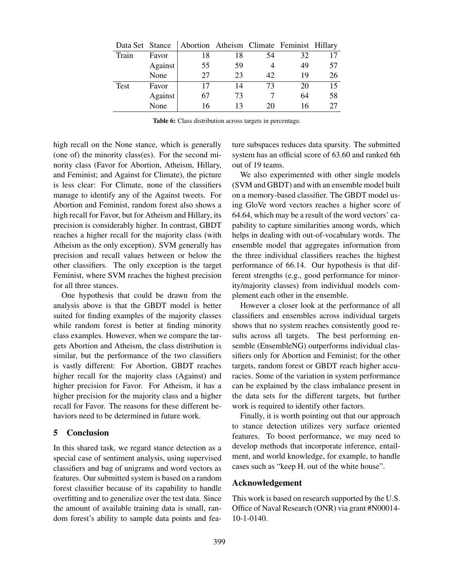| Data Set Stance |         |    |    |    | Abortion Atheism Climate Feminist Hillary |    |
|-----------------|---------|----|----|----|-------------------------------------------|----|
| Train           | Favor   | 18 | 18 | 54 | 32                                        |    |
|                 | Against | 55 | 59 |    | 49                                        | 57 |
|                 | None    | 27 | 23 | 42 | 19                                        | 26 |
| Test            | Favor   | 17 | 14 | 73 | 20                                        | 15 |
|                 | Against | 67 | 73 |    | 64                                        | 58 |
|                 | None    | 16 | 13 | 20 | 16                                        | 27 |

Table 6: Class distribution across targets in percentage.

high recall on the None stance, which is generally (one of) the minority class(es). For the second minority class (Favor for Abortion, Atheism, Hillary, and Feminist; and Against for Climate), the picture is less clear: For Climate, none of the classifiers manage to identify any of the Against tweets. For Abortion and Feminist, random forest also shows a high recall for Favor, but for Atheism and Hillary, its precision is considerably higher. In contrast, GBDT reaches a higher recall for the majority class (with Atheism as the only exception). SVM generally has precision and recall values between or below the other classifiers. The only exception is the target Feminist, where SVM reaches the highest precision for all three stances.

One hypothesis that could be drawn from the analysis above is that the GBDT model is better suited for finding examples of the majority classes while random forest is better at finding minority class examples. However, when we compare the targets Abortion and Atheism, the class distribution is similar, but the performance of the two classifiers is vastly different: For Abortion, GBDT reaches higher recall for the majority class (Against) and higher precision for Favor. For Atheism, it has a higher precision for the majority class and a higher recall for Favor. The reasons for these different behaviors need to be determined in future work.

## 5 Conclusion

In this shared task, we regard stance detection as a special case of sentiment analysis, using supervised classifiers and bag of unigrams and word vectors as features. Our submitted system is based on a random forest classifier because of its capability to handle overfitting and to generalize over the test data. Since the amount of available training data is small, random forest's ability to sample data points and feature subspaces reduces data sparsity. The submitted system has an official score of 63.60 and ranked 6th out of 19 teams.

We also experimented with other single models (SVM and GBDT) and with an ensemble model built on a memory-based classifier. The GBDT model using GloVe word vectors reaches a higher score of 64.64, which may be a result of the word vectors' capability to capture similarities among words, which helps in dealing with out-of-vocabulary words. The ensemble model that aggregates information from the three individual classifiers reaches the highest performance of 66.14. Our hypothesis is that different strengths (e.g., good performance for minority/majority classes) from individual models complement each other in the ensemble.

However a closer look at the performance of all classifiers and ensembles across individual targets shows that no system reaches consistently good results across all targets. The best performing ensemble (EnsembleNG) outperforms individual classifiers only for Abortion and Feminist; for the other targets, random forest or GBDT reach higher accuracies. Some of the variation in system performance can be explained by the class imbalance present in the data sets for the different targets, but further work is required to identify other factors.

Finally, it is worth pointing out that our approach to stance detection utilizes very surface oriented features. To boost performance, we may need to develop methods that incorporate inference, entailment, and world knowledge, for example, to handle cases such as "keep H. out of the white house".

#### Acknowledgement

This work is based on research supported by the U.S. Office of Naval Research (ONR) via grant #N00014- 10-1-0140.